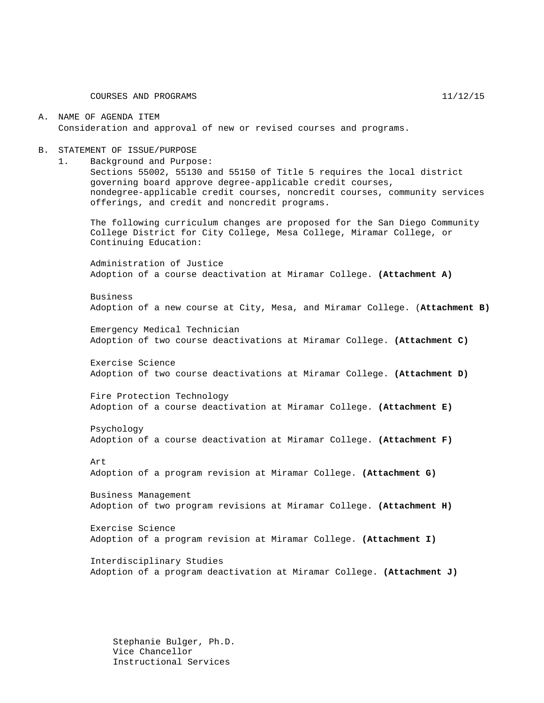#### A. NAME OF AGENDA ITEM Consideration and approval of new or revised courses and programs.

#### B. STATEMENT OF ISSUE/PURPOSE

1. Background and Purpose:

Sections 55002, 55130 and 55150 of Title 5 requires the local district governing board approve degree-applicable credit courses, nondegree-applicable credit courses, noncredit courses, community services offerings, and credit and noncredit programs.

The following curriculum changes are proposed for the San Diego Community College District for City College, Mesa College, Miramar College, or Continuing Education:

Administration of Justice Adoption of a course deactivation at Miramar College. **(Attachment A)**

Business Adoption of a new course at City, Mesa, and Miramar College. (**Attachment B)**

Emergency Medical Technician Adoption of two course deactivations at Miramar College. **(Attachment C)**

Exercise Science Adoption of two course deactivations at Miramar College. **(Attachment D)**

Fire Protection Technology Adoption of a course deactivation at Miramar College. **(Attachment E)**

Psychology Adoption of a course deactivation at Miramar College. **(Attachment F)**

Art

Adoption of a program revision at Miramar College. **(Attachment G)**

Business Management Adoption of two program revisions at Miramar College. **(Attachment H)**

Exercise Science Adoption of a program revision at Miramar College. **(Attachment I)**

Interdisciplinary Studies Adoption of a program deactivation at Miramar College. **(Attachment J)**

Stephanie Bulger, Ph.D. Vice Chancellor Instructional Services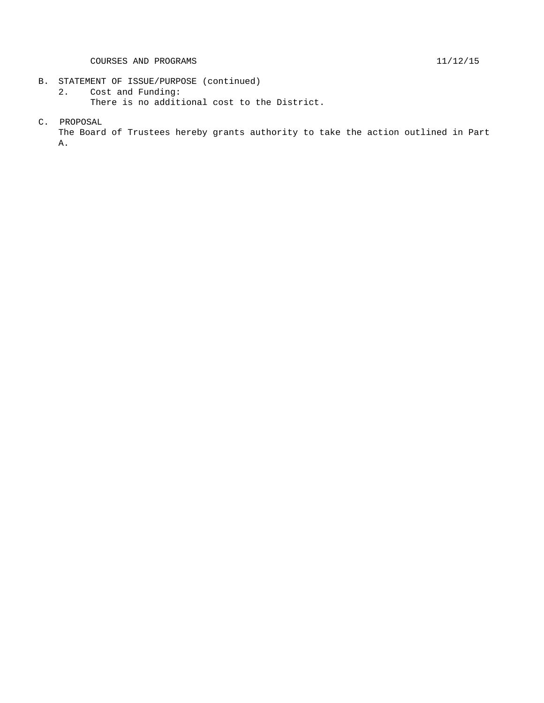- B. STATEMENT OF ISSUE/PURPOSE (continued)<br>2. Cost and Funding:
	- Cost and Funding: There is no additional cost to the District.
- C. PROPOSAL

The Board of Trustees hereby grants authority to take the action outlined in Part A.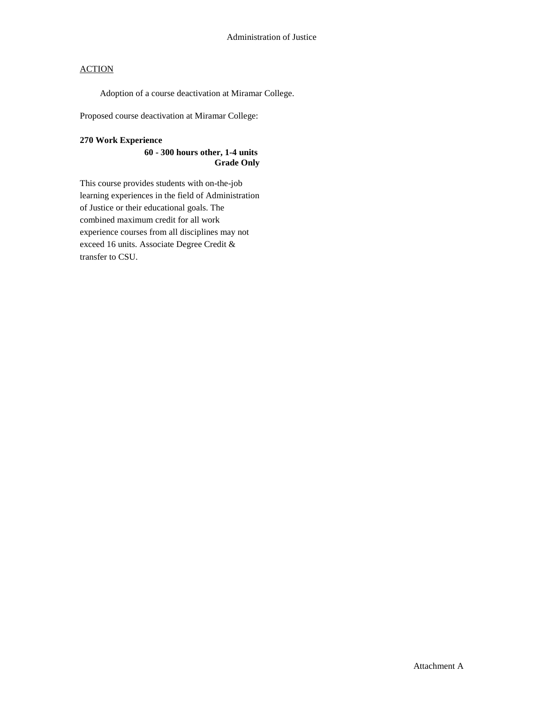Adoption of a course deactivation at Miramar College.

Proposed course deactivation at Miramar College:

### **270 Work Experience**

### **60 - 300 hours other, 1-4 units Grade Only**

This course provides students with on-the-job learning experiences in the field of Administration of Justice or their educational goals. The combined maximum credit for all work experience courses from all disciplines may not exceed 16 units. Associate Degree Credit & transfer to CSU.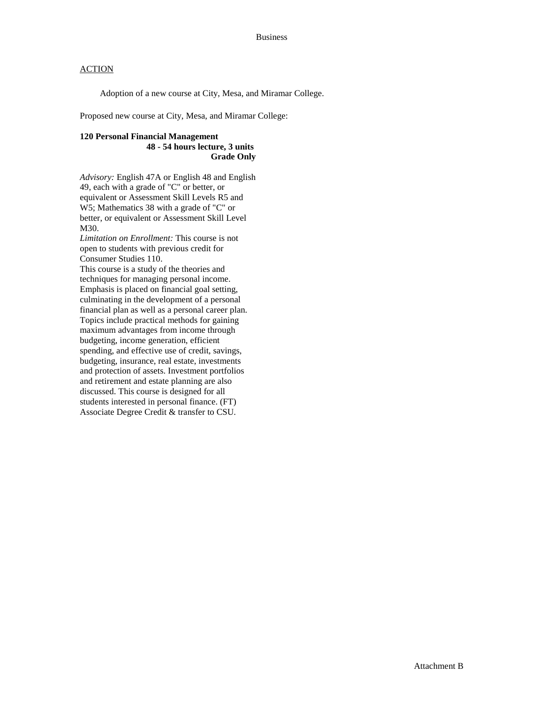Adoption of a new course at City, Mesa, and Miramar College.

Proposed new course at City, Mesa, and Miramar College:

### **120 Personal Financial Management 48 - 54 hours lecture, 3 units Grade Only**

*Advisory:* English 47A or English 48 and English 49, each with a grade of "C" or better, or equivalent or Assessment Skill Levels R5 and W5; Mathematics 38 with a grade of "C" or better, or equivalent or Assessment Skill Level M30.

*Limitation on Enrollment:* This course is not open to students with previous credit for Consumer Studies 110.

This course is a study of the theories and techniques for managing personal income. Emphasis is placed on financial goal setting, culminating in the development of a personal financial plan as well as a personal career plan. Topics include practical methods for gaining maximum advantages from income through budgeting, income generation, efficient spending, and effective use of credit, savings, budgeting, insurance, real estate, investments and protection of assets. Investment portfolios and retirement and estate planning are also discussed. This course is designed for all students interested in personal finance. (FT) Associate Degree Credit & transfer to CSU.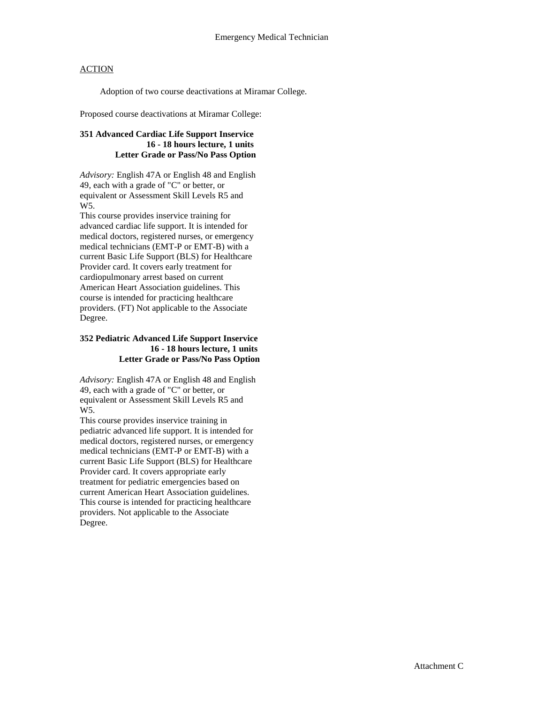Adoption of two course deactivations at Miramar College.

Proposed course deactivations at Miramar College:

### **351 Advanced Cardiac Life Support Inservice 16 - 18 hours lecture, 1 units Letter Grade or Pass/No Pass Option**

*Advisory:* English 47A or English 48 and English 49, each with a grade of "C" or better, or equivalent or Assessment Skill Levels R5 and W<sub>5</sub>.

This course provides inservice training for advanced cardiac life support. It is intended for medical doctors, registered nurses, or emergency medical technicians (EMT-P or EMT-B) with a current Basic Life Support (BLS) for Healthcare Provider card. It covers early treatment for cardiopulmonary arrest based on current American Heart Association guidelines. This course is intended for practicing healthcare providers. (FT) Not applicable to the Associate Degree.

### **352 Pediatric Advanced Life Support Inservice 16 - 18 hours lecture, 1 units Letter Grade or Pass/No Pass Option**

*Advisory:* English 47A or English 48 and English 49, each with a grade of "C" or better, or equivalent or Assessment Skill Levels R5 and W5.

This course provides inservice training in pediatric advanced life support. It is intended for medical doctors, registered nurses, or emergency medical technicians (EMT-P or EMT-B) with a current Basic Life Support (BLS) for Healthcare Provider card. It covers appropriate early treatment for pediatric emergencies based on current American Heart Association guidelines. This course is intended for practicing healthcare providers. Not applicable to the Associate Degree.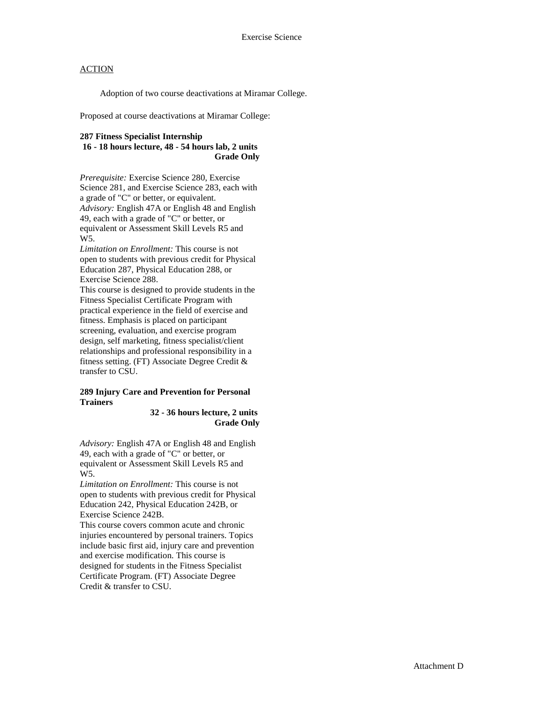Adoption of two course deactivations at Miramar College.

Proposed at course deactivations at Miramar College:

## **287 Fitness Specialist Internship**

**16 - 18 hours lecture, 48 - 54 hours lab, 2 units Grade Only**

*Prerequisite:* Exercise Science 280, Exercise Science 281, and Exercise Science 283, each with a grade of "C" or better, or equivalent. *Advisory:* English 47A or English 48 and English 49, each with a grade of "C" or better, or equivalent or Assessment Skill Levels R5 and W5.

*Limitation on Enrollment:* This course is not open to students with previous credit for Physical Education 287, Physical Education 288, or Exercise Science 288.

This course is designed to provide students in the Fitness Specialist Certificate Program with practical experience in the field of exercise and fitness. Emphasis is placed on participant screening, evaluation, and exercise program design, self marketing, fitness specialist/client relationships and professional responsibility in a fitness setting. (FT) Associate Degree Credit & transfer to CSU.

#### **289 Injury Care and Prevention for Personal Trainers**

#### **32 - 36 hours lecture, 2 units Grade Only**

*Advisory:* English 47A or English 48 and English 49, each with a grade of "C" or better, or equivalent or Assessment Skill Levels R5 and W5.

*Limitation on Enrollment:* This course is not open to students with previous credit for Physical Education 242, Physical Education 242B, or Exercise Science 242B.

This course covers common acute and chronic injuries encountered by personal trainers. Topics include basic first aid, injury care and prevention and exercise modification. This course is designed for students in the Fitness Specialist Certificate Program. (FT) Associate Degree Credit & transfer to CSU.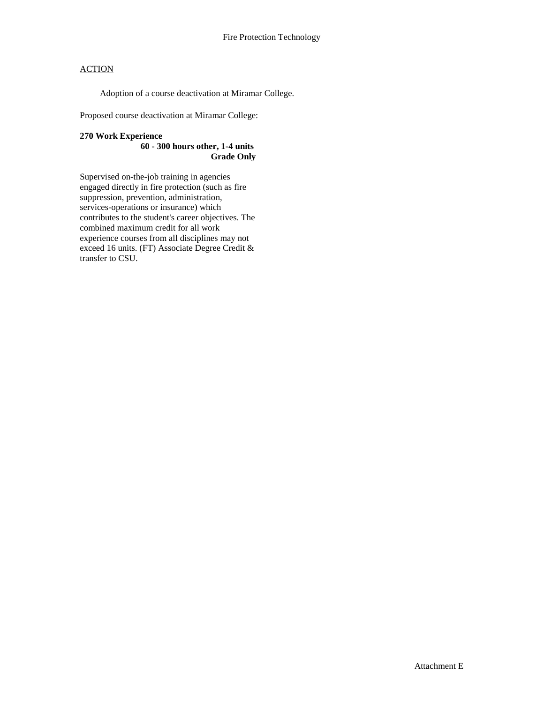Adoption of a course deactivation at Miramar College.

Proposed course deactivation at Miramar College:

#### **270 Work Experience 60 - 300 hours other, 1-4 units Grade Only**

Supervised on-the-job training in agencies engaged directly in fire protection (such as fire suppression, prevention, administration, services-operations or insurance) which contributes to the student's career objectives. The combined maximum credit for all work experience courses from all disciplines may not exceed 16 units. (FT) Associate Degree Credit & transfer to CSU.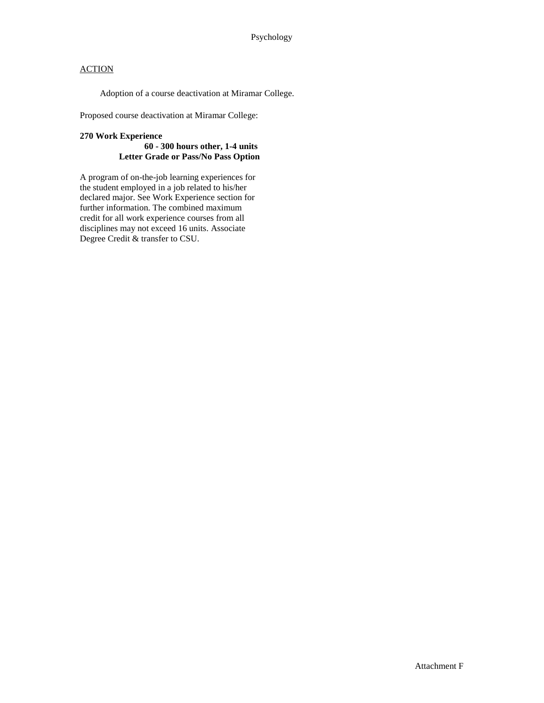Adoption of a course deactivation at Miramar College.

Proposed course deactivation at Miramar College:

### **270 Work Experience 60 - 300 hours other, 1-4 units Letter Grade or Pass/No Pass Option**

A program of on-the-job learning experiences for the student employed in a job related to his/her declared major. See Work Experience section for further information. The combined maximum credit for all work experience courses from all disciplines may not exceed 16 units. Associate Degree Credit & transfer to CSU.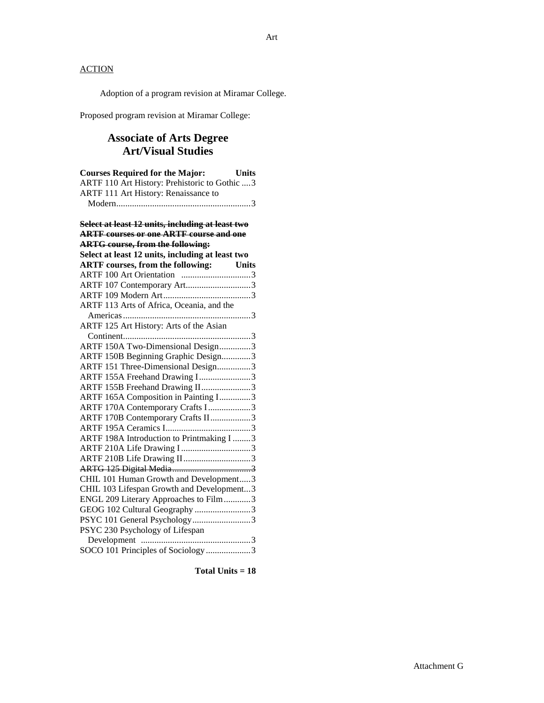Adoption of a program revision at Miramar College.

Proposed program revision at Miramar College:

## **Associate of Arts Degree Art/Visual Studies**

| <b>Courses Required for the Major:</b>           | Units        |
|--------------------------------------------------|--------------|
| ARTF 110 Art History: Prehistoric to Gothic  3   |              |
| ARTF 111 Art History: Renaissance to             |              |
|                                                  |              |
|                                                  |              |
| Select at least 12 units, including at least two |              |
| <b>ARTF</b> courses or one ARTF course and one   |              |
| <b>ARTG</b> course, from the following:          |              |
| Select at least 12 units, including at least two |              |
| <b>ARTF</b> courses, from the following:         | <b>Units</b> |
| ARTF 100 Art Orientation 3                       |              |
| ARTF 107 Contemporary Art3                       |              |
|                                                  |              |
| ARTF 113 Arts of Africa, Oceania, and the        |              |
|                                                  |              |
| ARTF 125 Art History: Arts of the Asian          |              |
|                                                  |              |
| ARTF 150A Two-Dimensional Design3                |              |
| ARTF 150B Beginning Graphic Design3              |              |
| ARTF 151 Three-Dimensional Design3               |              |
| ARTF 155A Freehand Drawing I3                    |              |
| ARTF 155B Freehand Drawing II3                   |              |
| ARTF 165A Composition in Painting I3             |              |
| ARTF 170A Contemporary Crafts I3                 |              |
| ARTF 170B Contemporary Crafts II3                |              |
|                                                  |              |
| ARTF 198A Introduction to Printmaking I 3        |              |
| ARTF 210A Life Drawing I3                        |              |
| ARTF 210B Life Drawing II3                       |              |
|                                                  |              |
| CHIL 101 Human Growth and Development3           |              |
| CHIL 103 Lifespan Growth and Development3        |              |
| ENGL 209 Literary Approaches to Film3            |              |
| GEOG 102 Cultural Geography 3                    |              |
| PSYC 101 General Psychology3                     |              |
| PSYC 230 Psychology of Lifespan                  |              |
|                                                  |              |
| SOCO 101 Principles of Sociology3                |              |
|                                                  |              |

**Total Units = 18**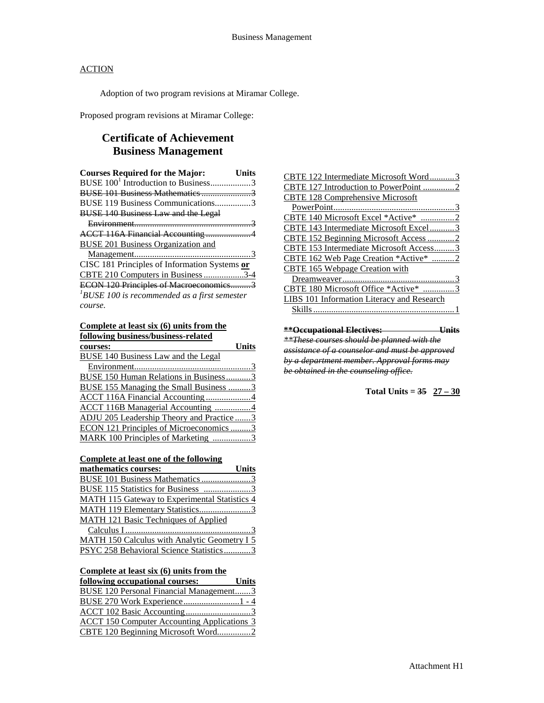Adoption of two program revisions at Miramar College.

Proposed program revisions at Miramar College:

## **Certificate of Achievement Business Management**

| <b>Courses Required for the Major:</b>          | Units |
|-------------------------------------------------|-------|
| BUSE 100 <sup>1</sup> Introduction to Business3 |       |
|                                                 |       |
| BUSE 119 Business Communications3               |       |
| <b>BUSE 140 Business Law and the Legal</b>      |       |
|                                                 |       |
|                                                 |       |
| BUSE 201 Business Organization and              |       |
|                                                 |       |
| CISC 181 Principles of Information Systems or   |       |
| CBTE 210 Computers in Business 3-4              |       |
| ECON 120 Principles of Macroeconomics3          |       |
| $1$ BUSE 100 is recommended as a first semester |       |
| course.                                         |       |

#### **Complete at least six (6) units from the**

| following business/business-related           |
|-----------------------------------------------|
| <b>Units</b><br>courses:                      |
| <b>BUSE 140 Business Law and the Legal</b>    |
|                                               |
| <b>BUSE 150 Human Relations in Business3</b>  |
| <b>BUSE 155 Managing the Small Business 3</b> |
| ACCT 116A Financial Accounting4               |
| <b>ACCT 116B Managerial Accounting 4</b>      |
| ADJU 205 Leadership Theory and Practice3      |
| ECON 121 Principles of Microeconomics 3       |
| MARK 100 Principles of Marketing 3            |

#### **Complete at least one of the following**

| mathematics courses:                                 | <b>Units</b> |
|------------------------------------------------------|--------------|
| BUSE 101 Business Mathematics 3                      |              |
| BUSE 115 Statistics for Business 3                   |              |
| <b>MATH 115 Gateway to Experimental Statistics 4</b> |              |
| MATH 119 Elementary Statistics3                      |              |
| MATH 121 Basic Techniques of Applied                 |              |
|                                                      |              |
| <b>MATH 150 Calculus with Analytic Geometry I 5</b>  |              |
| PSYC 258 Behavioral Science Statistics3              |              |
|                                                      |              |

## **Complete at least six (6) units from the**

| following occupational courses:                    | <b>Units</b> |
|----------------------------------------------------|--------------|
| BUSE 120 Personal Financial Management3            |              |
|                                                    |              |
|                                                    |              |
| <b>ACCT 150 Computer Accounting Applications 3</b> |              |
| CBTE 120 Beginning Microsoft Word2                 |              |

| CBTE 122 Intermediate Microsoft Word3      |
|--------------------------------------------|
| CBTE 127 Introduction to PowerPoint 2      |
| <b>CBTE 128 Comprehensive Microsoft</b>    |
|                                            |
| CBTE 140 Microsoft Excel *Active* 2        |
| CBTE 143 Intermediate Microsoft Excel      |
| CBTE 152 Beginning Microsoft Access2       |
| CBTE 153 Intermediate Microsoft Access3    |
| CBTE 162 Web Page Creation *Active * 2     |
| <b>CBTE 165 Webpage Creation with</b>      |
|                                            |
| CBTE 180 Microsoft Office *Active* 3       |
| LIBS 101 Information Literacy and Research |
|                                            |
|                                            |
|                                            |

**\*\*Occupational Electives: Units** *\*\*These courses should be planned with the assistance of a counselor and must be approved by a department member. Approval forms may be obtained in the counseling office.*

Total Units =  $35 \quad 27 - 30$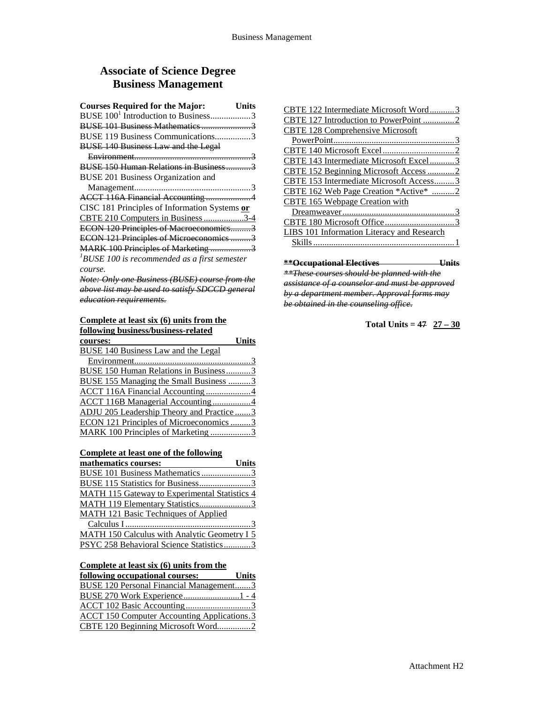## **Associate of Science Degree Business Management**

| <b>Courses Required for the Major:</b><br>Units      |
|------------------------------------------------------|
| BUSE 100 <sup>1</sup> Introduction to Business3      |
| BUSE 101 Business Mathematics 3                      |
| BUSE 119 Business Communications3                    |
| <b>BUSE 140 Business Law and the Legal</b>           |
|                                                      |
| BUSE 150 Human Relations in Business3                |
| BUSE 201 Business Organization and                   |
|                                                      |
| ACCT 116A Financial Accounting 4                     |
| CISC 181 Principles of Information Systems or        |
| CBTE 210 Computers in Business 3-4                   |
| ECON 120 Principles of Macroeconomics3               |
| ECON 121 Principles of Microeconomics 3              |
| MARK 100 Principles of Marketing 3                   |
| ${}^{1}$ BUSE 100 is recommended as a first semester |
| course.                                              |
| Note: Only one Business (BUSE) course from the       |
| above list may be used to satisfy SDCCD general      |

*education requirements.*

## **Complete at least six (6) units from the**

| <b>Units</b><br>courses:                  |
|-------------------------------------------|
| BUSE 140 Business Law and the Legal       |
|                                           |
| BUSE 150 Human Relations in Business3     |
| BUSE 155 Managing the Small Business 3    |
| ACCT 116A Financial Accounting4           |
| <b>ACCT 116B Managerial Accounting 4</b>  |
| ADJU 205 Leadership Theory and Practice 3 |
| ECON 121 Principles of Microeconomics 3   |
| MARK 100 Principles of Marketing 3        |

**Complete at least one of the following** 

| mathematics courses:                                 | <b>Units</b> |
|------------------------------------------------------|--------------|
| BUSE 101 Business Mathematics 3                      |              |
| BUSE 115 Statistics for Business3                    |              |
| <b>MATH 115 Gateway to Experimental Statistics 4</b> |              |
| MATH 119 Elementary Statistics3                      |              |
| <b>MATH 121 Basic Techniques of Applied</b>          |              |
|                                                      |              |
| MATH 150 Calculus with Analytic Geometry I 5         |              |
| PSYC 258 Behavioral Science Statistics3              |              |

### **Complete at least six (6) units from the**

| following occupational courses:                    | <b>Units</b> |
|----------------------------------------------------|--------------|
| <b>BUSE 120 Personal Financial Management3</b>     |              |
|                                                    |              |
|                                                    |              |
| <b>ACCT 150 Computer Accounting Applications.3</b> |              |
| CBTE 120 Beginning Microsoft Word2                 |              |

| BTE 122 Intermediate Microsoft Word       |
|-------------------------------------------|
| BTE 127 Introduction to PowerPoint        |
| <b>CBTE 128 Comprehensive Microsoft</b>   |
|                                           |
|                                           |
| CBTE 143 Intermediate Microsoft Excel     |
|                                           |
| CBTE 153 Intermediate Microsoft Access3   |
| CBTE 162 Web Page Creation *Active*       |
| CBTE 165 Webpage Creation with            |
|                                           |
|                                           |
| IBS 101 Information Literacy and Research |
|                                           |
|                                           |
|                                           |

**\*\*Occupational Electives Units** *\*\*These courses should be planned with the assistance of a counselor and must be approved by a department member. Approval forms may be obtained in the counseling office.*

Total Units =  $47 \quad 27 - 30$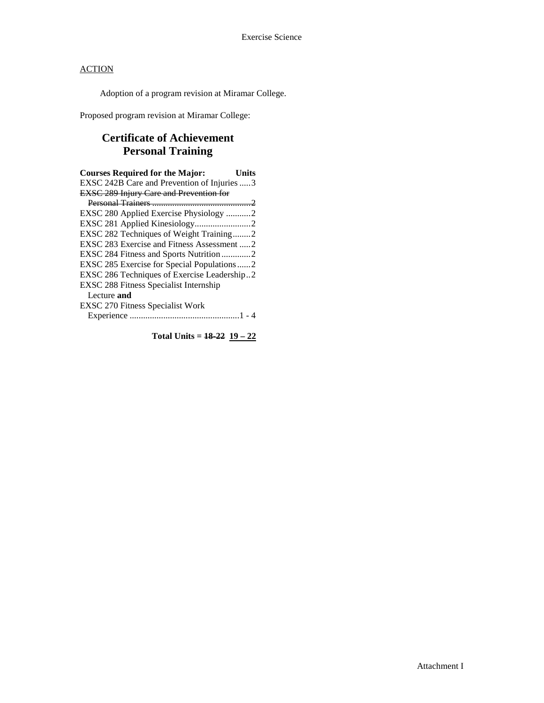Adoption of a program revision at Miramar College.

Proposed program revision at Miramar College:

# **Certificate of Achievement Personal Training**

| <b>Courses Required for the Major:</b>         | Units |
|------------------------------------------------|-------|
| EXSC 242B Care and Prevention of Injuries 3    |       |
| <b>EXSC 289 Injury Care and Prevention for</b> |       |
|                                                |       |
| EXSC 280 Applied Exercise Physiology 2         |       |
|                                                |       |
| EXSC 282 Techniques of Weight Training2        |       |
| EXSC 283 Exercise and Fitness Assessment  2    |       |
| EXSC 284 Fitness and Sports Nutrition 2        |       |
| EXSC 285 Exercise for Special Populations 2    |       |
| EXSC 286 Techniques of Exercise Leadership2    |       |
| <b>EXSC 288 Fitness Specialist Internship</b>  |       |
| Lecture and                                    |       |
| <b>EXSC 270 Fitness Specialist Work</b>        |       |
|                                                |       |

**Total Units = 18-22 19 – 22**